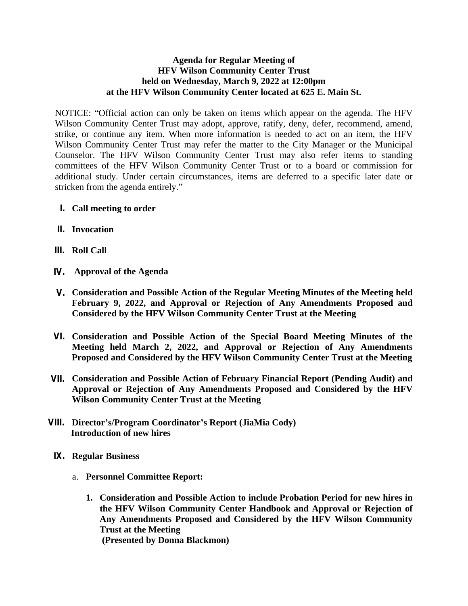## **Agenda for Regular Meeting of HFV Wilson Community Center Trust held on Wednesday, March 9, 2022 at 12:00pm at the HFV Wilson Community Center located at 625 E. Main St.**

NOTICE: "Official action can only be taken on items which appear on the agenda. The HFV Wilson Community Center Trust may adopt, approve, ratify, deny, defer, recommend, amend, strike, or continue any item. When more information is needed to act on an item, the HFV Wilson Community Center Trust may refer the matter to the City Manager or the Municipal Counselor. The HFV Wilson Community Center Trust may also refer items to standing committees of the HFV Wilson Community Center Trust or to a board or commission for additional study. Under certain circumstances, items are deferred to a specific later date or stricken from the agenda entirely."

- **I. Call meeting to order**
- **II. Invocation**
- **III. Roll Call**
- **IV. Approval of the Agenda**
- **V. Consideration and Possible Action of the Regular Meeting Minutes of the Meeting held February 9, 2022, and Approval or Rejection of Any Amendments Proposed and Considered by the HFV Wilson Community Center Trust at the Meeting**
- **VI. Consideration and Possible Action of the Special Board Meeting Minutes of the Meeting held March 2, 2022, and Approval or Rejection of Any Amendments Proposed and Considered by the HFV Wilson Community Center Trust at the Meeting**
- **VII. Consideration and Possible Action of February Financial Report (Pending Audit) and Approval or Rejection of Any Amendments Proposed and Considered by the HFV Wilson Community Center Trust at the Meeting**
- **VIII. Director's/Program Coordinator's Report (JiaMia Cody) Introduction of new hires**
	- **IX. Regular Business**
		- a. **Personnel Committee Report:**
			- **1. Consideration and Possible Action to include Probation Period for new hires in the HFV Wilson Community Center Handbook and Approval or Rejection of Any Amendments Proposed and Considered by the HFV Wilson Community Trust at the Meeting (Presented by Donna Blackmon)**